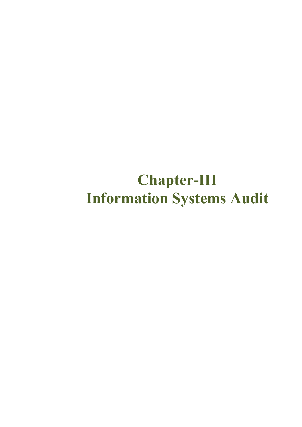# **Chapter-III Information Systems Audit**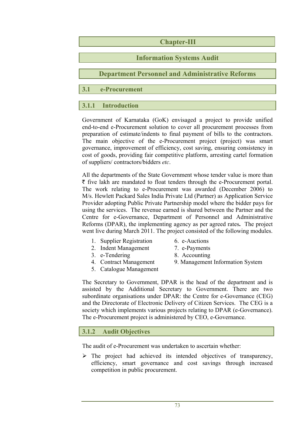## **Chapter-III**

## **Information Systems Audit**

**Department Personnel and Administrative Reforms** 

**3.1 e-Procurement** 

## **3.1.1 Introduction**

Government of Karnataka (GoK) envisaged a project to provide unified end-to-end e-Procurement solution to cover all procurement processes from preparation of estimate/indents to final payment of bills to the contractors. The main objective of the e-Procurement project (project) was smart governance, improvement of efficiency, cost saving, ensuring consistency in cost of goods, providing fair competitive platform, arresting cartel formation of suppliers/ contractors/bidders *etc*.

All the departments of the State Government whose tender value is more than  $\bar{\tau}$  five lakh are mandated to float tenders through the e-Procurement portal. The work relating to e-Procurement was awarded (December 2006) to M/s. Hewlett Packard Sales India Private Ltd (Partner) as Application Service Provider adopting Public Private Partnership model where the bidder pays for using the services. The revenue earned is shared between the Partner and the Centre for e-Governance, Department of Personnel and Administrative Reforms (DPAR), the implementing agency as per agreed rates**.** The project went live during March 2011. The project consisted of the following modules.

- 1. Supplier Registration 6. e-Auctions
	-
- 2. Indent Management 7. e-Payments
- 3. e-Tendering 8. Accounting
- 
- 5. Catalogue Management
- 4. Contract Management 9. Management Information System

The Secretary to Government, DPAR is the head of the department and is assisted by the Additional Secretary to Government. There are two subordinate organisations under DPAR: the Centre for e-Governance (CEG) and the Directorate of Electronic Delivery of Citizen Services. The CEG is a society which implements various projects relating to DPAR (e-Governance). The e-Procurement project is administered by CEO, e-Governance.

## **3.1.2 Audit Objectives**

The audit of e-Procurement was undertaken to ascertain whether:

 $\triangleright$  The project had achieved its intended objectives of transparency, efficiency, smart governance and cost savings through increased competition in public procurement.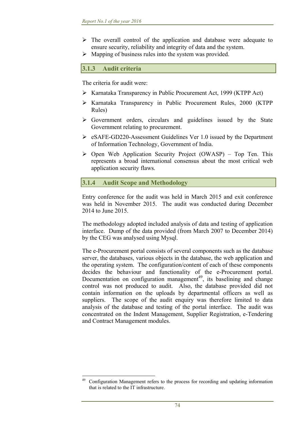- $\triangleright$  The overall control of the application and database were adequate to ensure security, reliability and integrity of data and the system.
- $\triangleright$  Mapping of business rules into the system was provided.

## **3.1.3 Audit criteria**

The criteria for audit were:

- Karnataka Transparency in Public Procurement Act, 1999 (KTPP Act)
- Karnataka Transparency in Public Procurement Rules, 2000 (KTPP Rules)
- Government orders, circulars and guidelines issued by the State Government relating to procurement.
- eSAFE-GD220-Assessment Guidelines Ver 1.0 issued by the Department of Information Technology, Government of India.
- $\triangleright$  Open Web Application Security Project (OWASP) Top Ten. This represents a broad international consensus about the most critical web application security flaws.

### **3.1.4 Audit Scope and Methodology**

Entry conference for the audit was held in March 2015 and exit conference was held in November 2015. The audit was conducted during December 2014 to June 2015.

The methodology adopted included analysis of data and testing of application interface. Dump of the data provided (from March 2007 to December 2014) by the CEG was analysed using Mysql.

The e-Procurement portal consists of several components such as the database server, the databases, various objects in the database, the web application and the operating system. The configuration/content of each of these components decides the behaviour and functionality of the e-Procurement portal. Documentation on configuration management<sup>49</sup>, its baselining and change control was not produced to audit. Also, the database provided did not contain information on the uploads by departmental officers as well as suppliers. The scope of the audit enquiry was therefore limited to data analysis of the database and testing of the portal interface. The audit was concentrated on the Indent Management, Supplier Registration, e-Tendering and Contract Management modules.

 49 Configuration Management refers to the process for recording and updating information that is related to the IT infrastructure.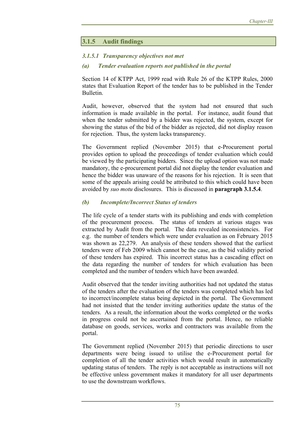# **3.1.5 Audit findings**

### *3.1.5.1 Transparency objectives not met*

#### *(a) Tender evaluation reports not published in the portal*

Section 14 of KTPP Act, 1999 read with Rule 26 of the KTPP Rules, 2000 states that Evaluation Report of the tender has to be published in the Tender Bulletin.

Audit, however, observed that the system had not ensured that such information is made available in the portal. For instance, audit found that when the tender submitted by a bidder was rejected, the system, except for showing the status of the bid of the bidder as rejected, did not display reason for rejection. Thus, the system lacks transparency.

The Government replied (November 2015) that e-Procurement portal provides option to upload the proceedings of tender evaluation which could be viewed by the participating bidders. Since the upload option was not made mandatory, the e-procurement portal did not display the tender evaluation and hence the bidder was unaware of the reasons for his rejection. It is seen that some of the appeals arising could be attributed to this which could have been avoided by *suo motu* disclosures. This is discussed in **paragraph 3.1.5.4**.

## *(b) Incomplete/Incorrect Status of tenders*

The life cycle of a tender starts with its publishing and ends with completion of the procurement process. The status of tenders at various stages was extracted by Audit from the portal. The data revealed inconsistencies. For e.g. the number of tenders which were under evaluation as on February 2015 was shown as 22,279. An analysis of these tenders showed that the earliest tenders were of Feb 2009 which cannot be the case, as the bid validity period of these tenders has expired. This incorrect status has a cascading effect on the data regarding the number of tenders for which evaluation has been completed and the number of tenders which have been awarded.

Audit observed that the tender inviting authorities had not updated the status of the tenders after the evaluation of the tenders was completed which has led to incorrect/incomplete status being depicted in the portal. The Government had not insisted that the tender inviting authorities update the status of the tenders. As a result, the information about the works completed or the works in progress could not be ascertained from the portal. Hence, no reliable database on goods, services, works and contractors was available from the portal.

The Government replied (November 2015) that periodic directions to user departments were being issued to utilise the e-Procurement portal for completion of all the tender activities which would result in automatically updating status of tenders. The reply is not acceptable as instructions will not be effective unless government makes it mandatory for all user departments to use the downstream workflows.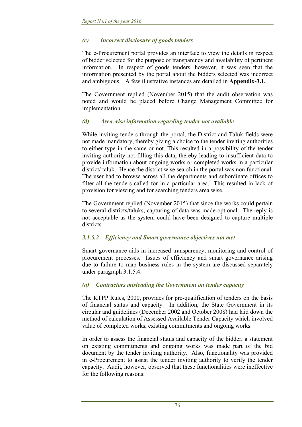## *(c) Incorrect disclosure of goods tenders*

The e-Procurement portal provides an interface to view the details in respect of bidder selected for the purpose of transparency and availability of pertinent information. In respect of goods tenders, however, it was seen that the information presented by the portal about the bidders selected was incorrect and ambiguous. A few illustrative instances are detailed in **Appendix-3.1.** 

The Government replied (November 2015) that the audit observation was noted and would be placed before Change Management Committee for implementation.

### *(d) Area wise information regarding tender not available*

While inviting tenders through the portal, the District and Taluk fields were not made mandatory, thereby giving a choice to the tender inviting authorities to either type in the same or not. This resulted in a possibility of the tender inviting authority not filling this data, thereby leading to insufficient data to provide information about ongoing works or completed works in a particular district/ taluk. Hence the district wise search in the portal was non functional. The user had to browse across all the departments and subordinate offices to filter all the tenders called for in a particular area. This resulted in lack of provision for viewing and for searching tenders area wise.

The Government replied (November 2015) that since the works could pertain to several districts/taluks, capturing of data was made optional. The reply is not acceptable as the system could have been designed to capture multiple districts.

## *3.1.5.2 Efficiency and Smart governance objectives not met*

Smart governance aids in increased transparency, monitoring and control of procurement processes. Issues of efficiency and smart governance arising due to failure to map business rules in the system are discussed separately under paragraph 3.1.5.4.

#### *(a) Contractors misleading the Government on tender capacity*

The KTPP Rules, 2000, provides for pre-qualification of tenders on the basis of financial status and capacity. In addition, the State Government in its circular and guidelines (December 2002 and October 2008) had laid down the method of calculation of Assessed Available Tender Capacity which involved value of completed works, existing commitments and ongoing works.

In order to assess the financial status and capacity of the bidder, a statement on existing commitments and ongoing works was made part of the bid document by the tender inviting authority. Also, functionality was provided in e-Procurement to assist the tender inviting authority to verify the tender capacity. Audit, however, observed that these functionalities were ineffective for the following reasons: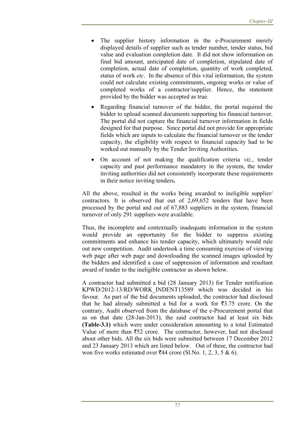- The supplier history information in the e-Procurement merely displayed details of supplier such as tender number, tender status, bid value and evaluation completion date. It did not show information on final bid amount, anticipated date of completion, stipulated date of completion, actual date of completion, quantity of work completed, status of work *etc*. In the absence of this vital information, the system could not calculate existing commitments, ongoing works or value of completed works of a contractor/supplier. Hence, the statement provided by the bidder was accepted as true.
- Regarding financial turnover of the bidder, the portal required the bidder to upload scanned documents supporting his financial turnover. The portal did not capture the financial turnover information in fields designed for that purpose. Since portal did not provide for appropriate fields which are inputs to calculate the financial turnover or the tender capacity, the eligibility with respect to financial capacity had to be worked out manually by the Tender Inviting Authorities.
- On account of not making the qualification criteria *viz*., tender capacity and past performance mandatory in the system, the tender inviting authorities did not consistently incorporate these requirements in their notice inviting tenders**.**

All the above, resulted in the works being awarded to ineligible supplier/ contractors. It is observed that out of 2,69,652 tenders that have been processed by the portal and out of 67,883 suppliers in the system, financial turnover of only 291 suppliers were available.

Thus, the incomplete and contextually inadequate information in the system would provide an opportunity for the bidder to suppress existing commitments and enhance his tender capacity, which ultimately would rule out new competition. Audit undertook a time consuming exercise of viewing web page after web page and downloading the scanned images uploaded by the bidders and identified a case of suppression of information and resultant award of tender to the ineligible contractor as shown below.

A contractor had submitted a bid (28 January 2013) for Tender notification KPWD/2012-13/RD/WORK\_INDENT13589 which was decided in his favour. As part of the bid documents uploaded, the contractor had disclosed that he had already submitted a bid for a work for  $\overline{3}3.75$  crore. On the contrary, Audit observed from the database of the e-Procurement portal that as on that date (28-Jan-2013), the said contractor had at least six bids **(Table-3.1)** which were under consideration amounting to a total Estimated Value of more than  $\overline{52}$  crore. The contractor, however, had not disclosed about other bids. All the six bids were submitted between 17 December 2012 and 23 January 2013 which are listed below. Out of these, the contractor had won five works estimated over  $\overline{444}$  crore (Sl.No. 1, 2, 3, 5 & 6).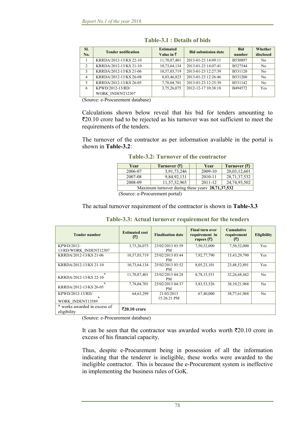| SI.<br>No.     | <b>Tender notification</b> | <b>Estimated</b><br>Value in $\bar{z}$ | <b>Bid submission date</b> | <b>Bid</b><br>number | Whether<br>disclosed |
|----------------|----------------------------|----------------------------------------|----------------------------|----------------------|----------------------|
|                | KRRDA/2012-13/KS 22-10     | 11,70,87,401                           | 2013-01-23 14:09:11        | B530897              | No                   |
| $\mathfrak{D}$ | KRRDA/2012-13/KS 21-10     | 10,73,64,134                           | 2013-01-23 14:07:41        | B527544              | No                   |
| 3              | KRRDA/2012-13/KS 21-06     | 10,57,03,719                           | 2013-01-23 12:27:39        | B531120              | No                   |
| $\overline{4}$ | KRRDA/2012-13/KS 26-08     | 8,03,46,823                            | 2013-01-23 12:26:46        | B531200              | N <sub>0</sub>       |
| 5              | KRRDA/2012-13/KS 26-05     | 7,78,04,701                            | 2013-01-23 12:25:39        | B531142              | No                   |
| 6              | KPWD/2012-13/RD/           | 3,75,26,075                            | 2012-12-17 10:38:18        | B494572              | Yes                  |
|                | WORK INDENT12307           |                                        |                            |                      |                      |

**Table-3.1 : Details of bids** 

(Source: e-Procurement database)

Calculations shown below reveal that his bid for tenders amounting to  $\bar{\mathcal{L}}20.10$  crore had to be rejected as his turnover was not sufficient to meet the requirements of the tenders.

The turnover of the contractor as per information available in the portal is shown in **Table-3.2**:

|  |  |  | <b>Table-3.2: Turnover of the contractor</b> |
|--|--|--|----------------------------------------------|
|--|--|--|----------------------------------------------|

| Year                                             | Turnover $(3)$ |  | Year    | Turnover $(3)$  |  |
|--------------------------------------------------|----------------|--|---------|-----------------|--|
| 2006-07                                          | 3,91,73,246    |  | 2009-10 | 20,03,12,601    |  |
| 2007-08                                          | 9,84,92,131    |  | 2010-11 | 28, 71, 37, 532 |  |
| 2008-09                                          | 11,57,32,965   |  | 2011-12 | 24,74,93,502    |  |
| Maximum turnover during these years 28,71,37,532 |                |  |         |                 |  |

(Source: e-Procurement portal)

The actual turnover requirement of the contractor is shown in **Table-3.3** 

| <b>Tender number</b>                           | <b>Estimated cost</b><br>(₹) | <b>Finalisation date</b>  | <b>Final turn over</b><br>requirement in<br>rupees $(\bar{z})$ | <b>Cumulative</b><br>requirement<br>(₹) | <b>Eligibility</b> |
|------------------------------------------------|------------------------------|---------------------------|----------------------------------------------------------------|-----------------------------------------|--------------------|
| KPWD/2012-<br>13/RD/WORK INDENT12307           | 3,75,26,075                  | 23/02/2013 03:59<br>PM.   | 7,50,52,000                                                    | 7,50,52,000                             | <b>Yes</b>         |
| KRRDA/2012-13/KS 21-06                         | 10,57,03,719                 | 25/02/2013 03:44<br>PM.   | 7,92,77,790                                                    | 15,43,29,790                            | Yes                |
| KRRDA/2012-13/KS 21-10                         | 10,73,64,134                 | 25/02/2013 03:52<br>PM.   | 8,05,23,101                                                    | 23,48,52,891                            | Yes                |
| $\ast$<br>KRRDA/2012-13/KS 22-10               | 11,70,87,401                 | 25/02/2013 04:28<br>PM.   | 8,78,15,551                                                    | 32,26,68,442                            | N <sub>0</sub>     |
| $\ast$<br>KRRDA/2012-13/KS 26-05               | 7,78,04,701                  | 25/02/2013 04:37<br>PM    | 5,83,53,526                                                    | 38, 10, 21, 968                         | N <sub>0</sub>     |
| KPWD/2012-13/RD/<br>$\ast$<br>WORK INDENT13589 | 64, 63, 299                  | 21/03/2013<br>15:26:21 PM | 67,40,000                                                      | 38,77,61,968                            | N <sub>0</sub>     |
| * works awarded in excess of<br>eligibility    | ₹20.10 crore                 |                           |                                                                |                                         |                    |

**Table-3.3: Actual turnover requirement for the tenders**

(Source: e-Procurement database)

It can be seen that the contractor was awarded works worth  $\bar{\tau}$ 20.10 crore in excess of his financial capacity.

Thus, despite e-Procurement being in possession of all the information indicating that the tenderer is ineligible, these works were awarded to the ineligible contractor. This is because the e-Procurement system is ineffective in implementing the business rules of GoK.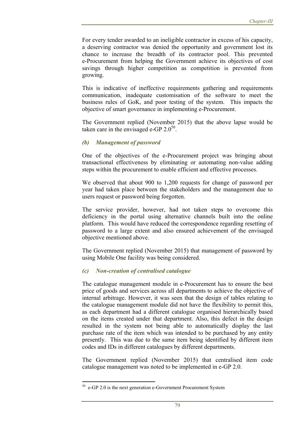For every tender awarded to an ineligible contractor in excess of his capacity, a deserving contractor was denied the opportunity and government lost its chance to increase the breadth of its contractor pool. This prevented e-Procurement from helping the Government achieve its objectives of cost savings through higher competition as competition is prevented from growing.

This is indicative of ineffective requirements gathering and requirements communication, inadequate customisation of the software to meet the business rules of GoK, and poor testing of the system. This impacts the objective of smart governance in implementing e-Procurement.

The Government replied (November 2015) that the above lapse would be taken care in the envisaged e-GP  $2.0^{50}$ .

## *(b) Management of password*

One of the objectives of the e-Procurement project was bringing about transactional effectiveness by eliminating or automating non-value adding steps within the procurement to enable efficient and effective processes.

We observed that about 900 to 1,200 requests for change of password per year had taken place between the stakeholders and the management due to users request or password being forgotten.

The service provider, however, had not taken steps to overcome this deficiency in the portal using alternative channels built into the online platform. This would have reduced the correspondence regarding resetting of password to a large extent and also ensured achievement of the envisaged objective mentioned above.

The Government replied (November 2015) that management of password by using Mobile One facility was being considered.

## *(c) Non-creation of centralised catalogue*

The catalogue management module in e-Procurement has to ensure the best price of goods and services across all departments to achieve the objective of internal arbitrage. However, it was seen that the design of tables relating to the catalogue management module did not have the flexibility to permit this, as each department had a different catalogue organised hierarchically based on the items created under that department. Also, this defect in the design resulted in the system not being able to automatically display the last purchase rate of the item which was intended to be purchased by any entity presently. This was due to the same item being identified by different item codes and IDs in different catalogues by different departments.

The Government replied (November 2015) that centralised item code catalogue management was noted to be implemented in e-GP 2.0.

 $50$  e-GP 2.0 is the next generation e-Government Procurement System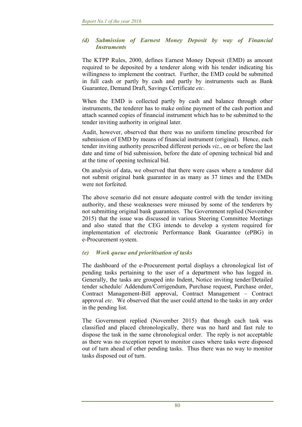#### *(d) Submission of Earnest Money Deposit by way of Financial Instruments*

The KTPP Rules, 2000, defines Earnest Money Deposit (EMD) as amount required to be deposited by a tenderer along with his tender indicating his willingness to implement the contract. Further, the EMD could be submitted in full cash or partly by cash and partly by instruments such as Bank Guarantee, Demand Draft, Savings Certificate *etc*.

When the EMD is collected partly by cash and balance through other instruments, the tenderer has to make online payment of the cash portion and attach scanned copies of financial instrument which has to be submitted to the tender inviting authority in original later.

Audit, however, observed that there was no uniform timeline prescribed for submission of EMD by means of financial instrument (original). Hence, each tender inviting authority prescribed different periods *viz*., on or before the last date and time of bid submission, before the date of opening technical bid and at the time of opening technical bid.

On analysis of data, we observed that there were cases where a tenderer did not submit original bank guarantee in as many as 37 times and the EMDs were not forfeited.

The above scenario did not ensure adequate control with the tender inviting authority, and these weaknesses were misused by some of the tenderers by not submitting original bank guarantees. The Government replied (November 2015) that the issue was discussed in various Steering Committee Meetings and also stated that the CEG intends to develop a system required for implementation of electronic Performance Bank Guarantee (ePBG) in e-Procurement system.

## *(e) Work queue and prioritisation of tasks*

The dashboard of the e-Procurement portal displays a chronological list of pending tasks pertaining to the user of a department who has logged in. Generally, the tasks are grouped into Indent, Notice inviting tender/Detailed tender schedule/ Addendum/Corrigendum, Purchase request, Purchase order, Contract Management-Bill approval, Contract Management – Contract approval *etc*. We observed that the user could attend to the tasks in any order in the pending list.

The Government replied (November 2015) that though each task was classified and placed chronologically, there was no hard and fast rule to dispose the task in the same chronological order. The reply is not acceptable as there was no exception report to monitor cases where tasks were disposed out of turn ahead of other pending tasks. Thus there was no way to monitor tasks disposed out of turn.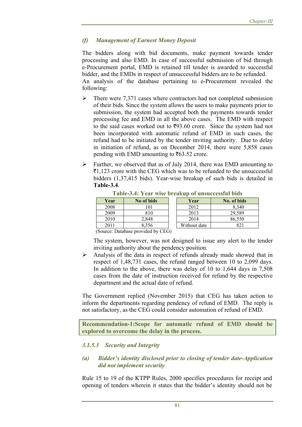#### *(f) Management of Earnest Money Deposit*

The bidders along with bid documents, make payment towards tender processing and also EMD. In case of successful submission of bid through e-Procurement portal, EMD is retained till tender is awarded to successful bidder, and the EMDs in respect of unsuccessful bidders are to be refunded. An analysis of the database pertaining to e-Procurement revealed the following:

- $\triangleright$  There were 7,371 cases where contractors had not completed submission of their bids. Since the system allows the users to make payments prior to submission, the system had accepted both the payments towards tender processing fee and EMD in all the above cases. The EMD with respect to the said cases worked out to  $\overline{593.60}$  crore. Since the system had not been incorporated with automatic refund of EMD in such cases, the refund had to be initiated by the tender inviting authority. Due to delay in initiation of refund, as on December 2014, there were 5,858 cases pending with EMD amounting to  $\overline{6}63.52$  crore.
- $\triangleright$  Further, we observed that as of July 2014, there was EMD amounting to  $\bar{z}1,123$  crore with the CEG which was to be refunded to the unsuccessful bidders (1,37,415 bids). Year-wise breakup of such bids is detailed in **Table-3.4**.

| Table-3.4: Year wise breakup of unsuccessful bids |            |  |              |             |  |
|---------------------------------------------------|------------|--|--------------|-------------|--|
| Year                                              | No of bids |  | Year         | No. of bids |  |
| 2008                                              | 101        |  | 2012         | 8,340       |  |
| 2009                                              | 810        |  | 2013         | 29,589      |  |
| 2010                                              | 2,848      |  | 2014         | 86,550      |  |
| 2011                                              | 8,356      |  | Without date | 82          |  |
| ---<br>$\overline{\phantom{a}}$                   | .<br>----  |  |              |             |  |

**Table-3.4: Year wise breakup of unsuccessful bids** 

(Source: Database provided by CEG)

The system, however, was not designed to issue any alert to the tender inviting authority about the pendency position.

 $\triangleright$  Analysis of the data in respect of refunds already made showed that in respect of 1,48,731 cases, the refund ranged between 10 to 2,099 days. In addition to the above, there was delay of 10 to 1,644 days in 7,508 cases from the date of instruction received for refund by the respective department and the actual date of refund.

The Government replied (November 2015) that CEG has taken action to inform the departments regarding pendency of refund of EMD. The reply is not satisfactory, as the CEG could consider automation of refund of EMD.

**Recommendation-1:Scope for automatic refund of EMD should be explored to overcome the delay in the process.** 

#### *3.1.5.3 Security and Integrity*

#### *(a) Bidder's identity disclosed prior to closing of tender date-Application did not implement security*

Rule 15 to 19 of the KTPP Rules, 2000 specifies procedures for receipt and opening of tenders wherein it states that the bidder's identity should not be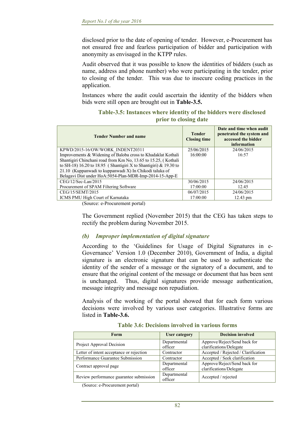disclosed prior to the date of opening of tender. However, e-Procurement has not ensured free and fearless participation of bidder and participation with anonymity as envisaged in the KTPP rules.

Audit observed that it was possible to know the identities of bidders (such as name, address and phone number) who were participating in the tender, prior to closing of the tender. This was due to insecure coding practices in the application.

Instances where the audit could ascertain the identity of the bidders when bids were still open are brought out in **Table-3.5.**

| <b>Tender Number and name</b>                                       | <b>Tender</b><br><b>Closing time</b> | Date and time when audit<br>penetrated the system and<br>accessed the bidder<br>information |
|---------------------------------------------------------------------|--------------------------------------|---------------------------------------------------------------------------------------------|
| KPWD/2015-16/OW/WORK INDENT20311                                    | 25/06/2015                           | 24/06/2015                                                                                  |
| Improvements & Widening of Baloba cross to Khadaklat Kothali        | 16:00:00                             | 16:57                                                                                       |
| Shantigiri Chinchani road from Km No, 13.65 to 15.25, (Kothali      |                                      |                                                                                             |
| to SH-18) 16.20 to 18.95 (Shantigiri X to Shantigiri) $\&$ 19.30 to |                                      |                                                                                             |
| 21.10 (Kuppanwadi to kuppanwadi X) In Chikodi taluka of             |                                      |                                                                                             |
| Belagavi Dist under HoA:5054-Plan-MDR-Imp-2014-15-App-E             |                                      |                                                                                             |
| $CEG/12/Sec-I.an/2015$                                              | 30/06/2015                           | 24/06/2015                                                                                  |
| Procurement of SPAM Filtering Software                              | 17:00:00                             | 12.45                                                                                       |
| CEG/15/SEMT/2015                                                    | 06/07/2015                           | 24/06/2015                                                                                  |
| ICMS PMU High Court of Karnataka                                    | 17:00:00                             | $12.43 \text{ pm}$                                                                          |

#### **Table-3.5: Instances where identity of the bidders were disclosed prior to closing date**

(Source: e-Procurement portal)

The Government replied (November 2015) that the CEG has taken steps to rectify the problem during November 2015.

#### *(b) Improper implementation of digital signature*

According to the 'Guidelines for Usage of Digital Signatures in e-Governance' Version 1.0 (December 2010), Government of India, a digital signature is an electronic signature that can be used to authenticate the identity of the sender of a message or the signatory of a document, and to ensure that the original content of the message or document that has been sent is unchanged. Thus, digital signatures provide message authentication, message integrity and message non repudiation.

Analysis of the working of the portal showed that for each form various decisions were involved by various user categories. Illustrative forms are listed in **Table-3.6.** 

| Form                                     | <b>User category</b> | <b>Decision involved</b>            |
|------------------------------------------|----------------------|-------------------------------------|
| Project Approval Decision                | Departmental         | Approve/Reject/Send back for        |
|                                          | officer              | clarifications/Delegate             |
| Letter of intent acceptance or rejection | Contractor           | Accepted / Rejected / Clarification |
| Performance Guarantee Submission         | Contractor           | Accepted / Seek clarification       |
| Contract approval page                   | Departmental         | Approve/Reject/Send back for        |
|                                          | officer              | clarifications/Delegate             |
| Review performance guarantee submission  | Departmental         | Accepted / rejected                 |
|                                          | officer              |                                     |

**Table 3.6: Decisions involved in various forms** 

(Source: e-Procurement portal)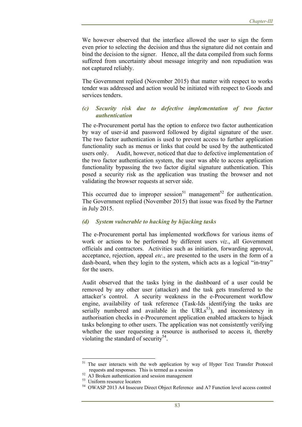We however observed that the interface allowed the user to sign the form even prior to selecting the decision and thus the signature did not contain and bind the decision to the signer. Hence, all the data compiled from such forms suffered from uncertainty about message integrity and non repudiation was not captured reliably.

The Government replied (November 2015) that matter with respect to works tender was addressed and action would be initiated with respect to Goods and services tenders.

#### *(c) Security risk due to defective implementation of two factor authentication*

The e-Procurement portal has the option to enforce two factor authentication by way of user-id and password followed by digital signature of the user. The two factor authentication is used to prevent access to further application functionality such as menus or links that could be used by the authenticated users only. Audit, however, noticed that due to defective implementation of the two factor authentication system, the user was able to access application functionality bypassing the two factor digital signature authentication. This posed a security risk as the application was trusting the browser and not validating the browser requests at server side.

This occurred due to improper session<sup>51</sup> management<sup>52</sup> for authentication. The Government replied (November 2015) that issue was fixed by the Partner in July 2015.

#### *(d) System vulnerable to hacking by hijacking tasks*

The e-Procurement portal has implemented workflows for various items of work or actions to be performed by different users *viz*., all Government officials and contractors. Activities such as initiation, forwarding approval, acceptance, rejection, appeal *etc*., are presented to the users in the form of a dash-board, when they login to the system, which acts as a logical "in-tray" for the users.

Audit observed that the tasks lying in the dashboard of a user could be removed by any other user (attacker) and the task gets transferred to the attacker's control. A security weakness in the e-Procurement workflow engine, availability of task reference (Task-Ids identifying the tasks are serially numbered and available in the  $URLs<sup>53</sup>$ , and inconsistency in authorisation checks in e-Procurement application enabled attackers to hijack tasks belonging to other users. The application was not consistently verifying whether the user requesting a resource is authorised to access it, thereby violating the standard of security<sup>54</sup>.

 The user interacts with the web application by way of Hyper Text Transfer Protocol

requests and responses. This is termed as a session 52 A3 Broken authentication and session management

<sup>53</sup> Uniform resource locaters

<sup>&</sup>lt;sup>54</sup> OWASP 2013 A4 Insecure Direct Object Reference and A7 Function level access control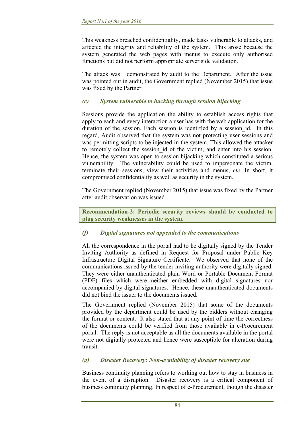This weakness breached confidentiality, made tasks vulnerable to attacks, and affected the integrity and reliability of the system. This arose because the system generated the web pages with menus to execute only authorised functions but did not perform appropriate server side validation.

The attack was demonstrated by audit to the Department. After the issue was pointed out in audit, the Government replied (November 2015) that issue was fixed by the Partner.

## *(e) System vulnerable to hacking through session hijacking*

Sessions provide the application the ability to establish access rights that apply to each and every interaction a user has with the web application for the duration of the session. Each session is identified by a session id. In this regard, Audit observed that the system was not protecting user sessions and was permitting scripts to be injected in the system. This allowed the attacker to remotely collect the session id of the victim, and enter into his session. Hence, the system was open to session hijacking which constituted a serious vulnerability. The vulnerability could be used to impersonate the victim, terminate their sessions, view their activities and menus, *etc*. In short, it compromised confidentiality as well as security in the system.

The Government replied (November 2015) that issue was fixed by the Partner after audit observation was issued.

**Recommendation-2: Periodic security reviews should be conducted to plug security weaknesses in the system.** 

#### *(f) Digital signatures not appended to the communications*

All the correspondence in the portal had to be digitally signed by the Tender Inviting Authority as defined in Request for Proposal under Public Key Infrastructure Digital Signature Certificate. We observed that none of the communications issued by the tender inviting authority were digitally signed. They were either unauthenticated plain Word or Portable Document Format (PDF) files which were neither embedded with digital signatures nor accompanied by digital signatures. Hence, these unauthenticated documents did not bind the issuer to the documents issued.

The Government replied (November 2015) that some of the documents provided by the department could be used by the bidders without changing the format or content. It also stated that at any point of time the correctness of the documents could be verified from those available in e-Procurement portal. The reply is not acceptable as all the documents available in the portal were not digitally protected and hence were susceptible for alteration during transit.

#### *(g) Disaster Recovery: Non-availability of disaster recovery site*

Business continuity planning refers to working out how to stay in business in the event of a disruption. Disaster recovery is a critical component of business continuity planning. In respect of e-Procurement, though the disaster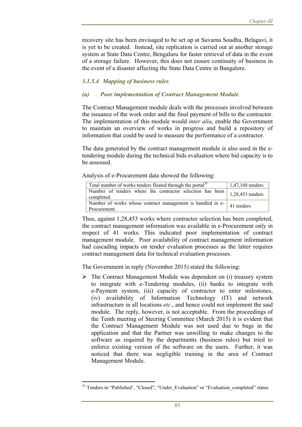recovery site has been envisaged to be set up at Suvarna Soudha, Belagavi, it is yet to be created. Instead, site replication is carried out at another storage system at State Data Centre, Bengaluru for faster retrieval of data in the event of a storage failure. However, this does not ensure continuity of business in the event of a disaster affecting the State Data Centre in Bangalore.

# *3.1.5.4 Mapping of business rules*

## *(a) Poor implementation of Contract Management Module*

The Contract Management module deals with the processes involved between the issuance of the work order and the final payment of bills to the contractor. The implementation of this module would *inter alia*, enable the Government to maintain an overview of works in progress and build a repository of information that could be used to measure the performance of a contractor.

The data generated by the contract management module is also used in the etendering module during the technical bids evaluation where bid capacity is to be assessed.

Analysis of e-Procurement data showed the following:

| Total number of works tenders floated through the portal <sup>55</sup>                           | 1,47,168 tenders |  |  |
|--------------------------------------------------------------------------------------------------|------------------|--|--|
| Number of tenders where the contractor selection has been $\Big  1,28,453$ tenders<br>completed. |                  |  |  |
| Number of works whose contract management is handled in $e$ - $\vert$ 41 tenders<br>Procurement. |                  |  |  |

Thus, against 1,28,453 works where contractor selection has been completed, the contract management information was available in e-Procurement only in respect of 41 works. This indicated poor implementation of contract management module. Poor availability of contract management information had cascading impacts on tender evaluation processes as the latter requires contract management data for technical evaluation processes.

The Government in reply (November 2015) stated the following:

 $\triangleright$  The Contract Management Module was dependent on (i) treasury system to integrate with e-Tendering modules, (ii) banks to integrate with e-Payment system, (iii) capacity of contractor to enter milestones, (iv) availability of Information Technology (IT) and network infrastructure in all locations *etc*., and hence could not implement the said module. The reply, however, is not acceptable. From the proceedings of the Tenth meeting of Steering Committee (March 2015) it is evident that the Contract Management Module was not used due to bugs in the application and that the Partner was unwilling to make changes to the software as required by the departments (business rules) but tried to enforce existing version of the software on the users. Further, it was noticed that there was negligible training in the area of Contract Management Module.

<sup>55</sup> Tenders in "Published', "Closed", "Under\_Evaluation" or "Evaluation\_completed" status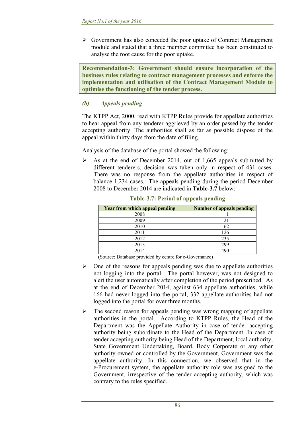$\triangleright$  Government has also conceded the poor uptake of Contract Management module and stated that a three member committee has been constituted to analyse the root cause for the poor uptake.

**Recommendation-3: Government should ensure incorporation of the business rules relating to contract management processes and enforce the implementation and utilisation of the Contract Management Module to optimise the functioning of the tender process.** 

## *(b) Appeals pending*

The KTPP Act, 2000, read with KTPP Rules provide for appellate authorities to hear appeal from any tenderer aggrieved by an order passed by the tender accepting authority. The authorities shall as far as possible dispose of the appeal within thirty days from the date of filing.

Analysis of the database of the portal showed the following:

 $\triangleright$  As at the end of December 2014, out of 1,665 appeals submitted by different tenderers, decision was taken only in respect of 431 cases. There was no response from the appellate authorities in respect of balance 1,234 cases. The appeals pending during the period December 2008 to December 2014 are indicated in **Table-3.7** below:

| Year from which appeal pending                         | <b>Number of appeals pending</b> |
|--------------------------------------------------------|----------------------------------|
| 2008                                                   |                                  |
| 2009                                                   | 21                               |
| 2010                                                   | 62                               |
| 2011                                                   | 126                              |
| 2012                                                   | 235                              |
| 2013                                                   | 299                              |
| 2014                                                   | 490                              |
| 111<br>$\sim$ $\sim$<br>$\sqrt{2}$<br>$\mathbf{r}$ , 1 | $\sqrt{ }$                       |

**Table-3.7: Period of appeals pending** 

(Source: Database provided by centre for e-Governance)

- $\triangleright$  One of the reasons for appeals pending was due to appellate authorities not logging into the portal. The portal however, was not designed to alert the user automatically after completion of the period prescribed. As at the end of December 2014, against 634 appellate authorities, while 166 had never logged into the portal, 332 appellate authorities had not logged into the portal for over three months.
- $\triangleright$  The second reason for appeals pending was wrong mapping of appellate authorities in the portal. According to KTPP Rules, the Head of the Department was the Appellate Authority in case of tender accepting authority being subordinate to the Head of the Department. In case of tender accepting authority being Head of the Department, local authority, State Government Undertaking, Board, Body Corporate or any other authority owned or controlled by the Government, Government was the appellate authority. In this connection, we observed that in the e-Procurement system, the appellate authority role was assigned to the Government, irrespective of the tender accepting authority, which was contrary to the rules specified.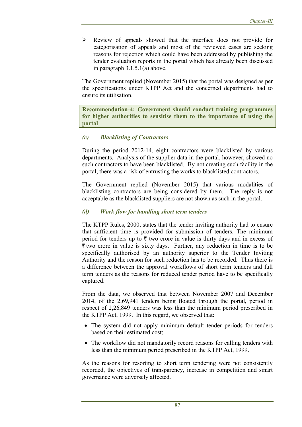Review of appeals showed that the interface does not provide for categorisation of appeals and most of the reviewed cases are seeking reasons for rejection which could have been addressed by publishing the tender evaluation reports in the portal which has already been discussed in paragraph 3.1.5.1(a) above.

The Government replied (November 2015) that the portal was designed as per the specifications under KTPP Act and the concerned departments had to ensure its utilisation.

**Recommendation-4: Government should conduct training programmes for higher authorities to sensitise them to the importance of using the portal** 

# *(c) Blacklisting of Contractors*

During the period 2012-14, eight contractors were blacklisted by various departments. Analysis of the supplier data in the portal, however, showed no such contractors to have been blacklisted. By not creating such facility in the portal, there was a risk of entrusting the works to blacklisted contractors.

The Government replied (November 2015) that various modalities of blacklisting contractors are being considered by them. The reply is not acceptable as the blacklisted suppliers are not shown as such in the portal.

## *(d) Work flow for handling short term tenders*

The KTPP Rules, 2000, states that the tender inviting authority had to ensure that sufficient time is provided for submission of tenders. The minimum period for tenders up to  $\bar{\tau}$  two crore in value is thirty days and in excess of  $\bar{\tau}$  two crore in value is sixty days. Further, any reduction in time is to be specifically authorised by an authority superior to the Tender Inviting Authority and the reason for such reduction has to be recorded. Thus there is a difference between the approval workflows of short term tenders and full term tenders as the reasons for reduced tender period have to be specifically captured.

From the data, we observed that between November 2007 and December 2014, of the 2,69,941 tenders being floated through the portal, period in respect of 2,26,849 tenders was less than the minimum period prescribed in the KTPP Act, 1999. In this regard, we observed that:

- The system did not apply minimum default tender periods for tenders based on their estimated cost;
- The workflow did not mandatorily record reasons for calling tenders with less than the minimum period prescribed in the KTPP Act, 1999.

As the reasons for resorting to short term tendering were not consistently recorded, the objectives of transparency, increase in competition and smart governance were adversely affected.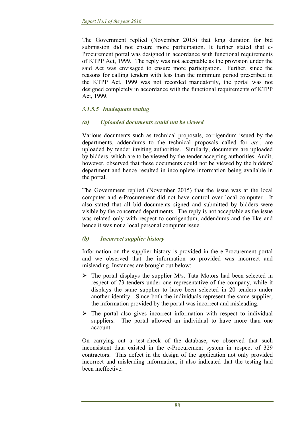The Government replied (November 2015) that long duration for bid submission did not ensure more participation. It further stated that e-Procurement portal was designed in accordance with functional requirements of KTPP Act, 1999. The reply was not acceptable as the provision under the said Act was envisaged to ensure more participation. Further, since the reasons for calling tenders with less than the minimum period prescribed in the KTPP Act, 1999 was not recorded mandatorily, the portal was not designed completely in accordance with the functional requirements of KTPP Act, 1999.

## *3.1.5.5 Inadequate testing*

#### *(a) Uploaded documents could not be viewed*

Various documents such as technical proposals, corrigendum issued by the departments, addendums to the technical proposals called for *etc*., are uploaded by tender inviting authorities. Similarly, documents are uploaded by bidders, which are to be viewed by the tender accepting authorities. Audit, however, observed that these documents could not be viewed by the bidders/ department and hence resulted in incomplete information being available in the portal.

The Government replied (November 2015) that the issue was at the local computer and e-Procurement did not have control over local computer. It also stated that all bid documents signed and submitted by bidders were visible by the concerned departments. The reply is not acceptable as the issue was related only with respect to corrigendum, addendums and the like and hence it was not a local personal computer issue.

## *(b) Incorrect supplier history*

Information on the supplier history is provided in the e-Procurement portal and we observed that the information so provided was incorrect and misleading. Instances are brought out below:

- $\triangleright$  The portal displays the supplier M/s. Tata Motors had been selected in respect of 73 tenders under one representative of the company, while it displays the same supplier to have been selected in 20 tenders under another identity. Since both the individuals represent the same supplier, the information provided by the portal was incorrect and misleading.
- $\triangleright$  The portal also gives incorrect information with respect to individual suppliers. The portal allowed an individual to have more than one account.

On carrying out a test-check of the database, we observed that such inconsistent data existed in the e-Procurement system in respect of 329 contractors. This defect in the design of the application not only provided incorrect and misleading information, it also indicated that the testing had been ineffective.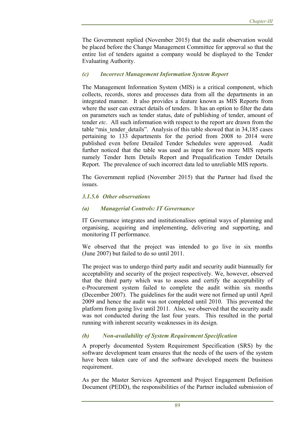The Government replied (November 2015) that the audit observation would be placed before the Change Management Committee for approval so that the entire list of tenders against a company would be displayed to the Tender Evaluating Authority.

### *(c) Incorrect Management Information System Report*

The Management Information System (MIS) is a critical component, which collects, records, stores and processes data from all the departments in an integrated manner. It also provides a feature known as MIS Reports from where the user can extract details of tenders. It has an option to filter the data on parameters such as tender status, date of publishing of tender, amount of tender *etc*. All such information with respect to the report are drawn from the table "mis tender details". Analysis of this table showed that in 34,185 cases pertaining to 133 departments for the period from 2008 to 2014 were published even before Detailed Tender Schedules were approved. Audit further noticed that the table was used as input for two more MIS reports namely Tender Item Details Report and Prequalification Tender Details Report. The prevalence of such incorrect data led to unreliable MIS reports.

The Government replied (November 2015) that the Partner had fixed the issues.

#### *3.1.5.6 Other observations*

#### *(a) Managerial Controls: IT Governance*

IT Governance integrates and institutionalises optimal ways of planning and organising, acquiring and implementing, delivering and supporting, and monitoring IT performance.

We observed that the project was intended to go live in six months (June 2007) but failed to do so until 2011.

The project was to undergo third party audit and security audit biannually for acceptability and security of the project respectively. We, however, observed that the third party which was to assess and certify the acceptability of e-Procurement system failed to complete the audit within six months (December 2007). The guidelines for the audit were not firmed up until April 2009 and hence the audit was not completed until 2010. This prevented the platform from going live until 2011. Also, we observed that the security audit was not conducted during the last four years. This resulted in the portal running with inherent security weaknesses in its design.

#### *(b) Non-availability of System Requirement Specification*

A properly documented System Requirement Specification (SRS) by the software development team ensures that the needs of the users of the system have been taken care of and the software developed meets the business requirement.

As per the Master Services Agreement and Project Engagement Definition Document (PEDD), the responsibilities of the Partner included submission of